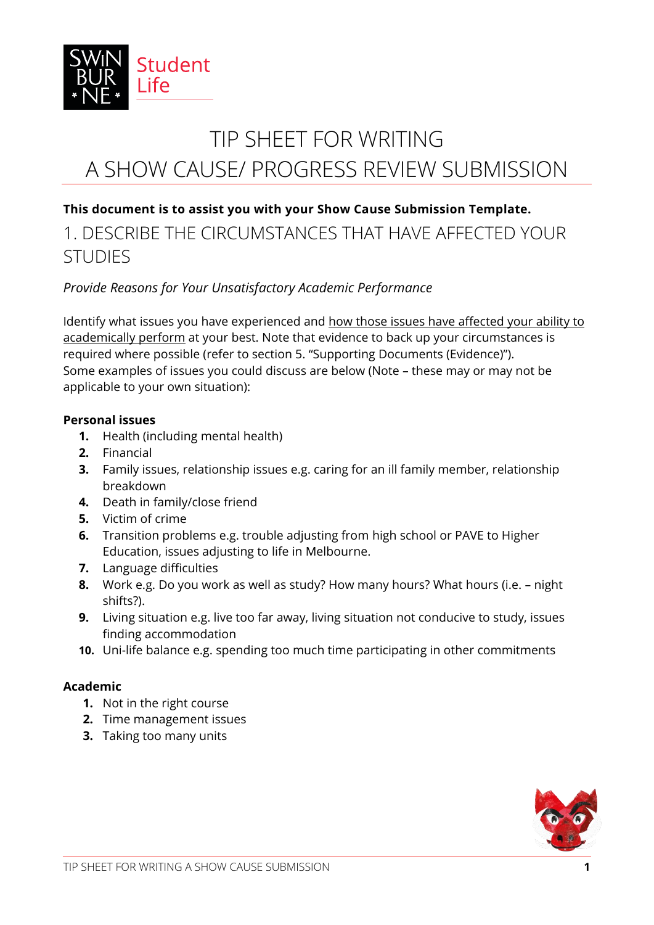

# TIP SHEET FOR WRITING A SHOW CAUSE/ PROGRESS REVIEW SUBMISSION

### **This document is to assist you with your Show Cause Submission Template.**

## 1. DESCRIBE THE CIRCUMSTANCES THAT HAVE AFFECTED YOUR **STUDIES**

### *Provide Reasons for Your Unsatisfactory Academic Performance*

Identify what issues you have experienced and how those issues have affected your ability to academically perform at your best. Note that evidence to back up your circumstances is required where possible (refer to section 5. "Supporting Documents (Evidence)"). Some examples of issues you could discuss are below (Note – these may or may not be applicable to your own situation):

#### **Personal issues**

- **1.** Health (including mental health)
- **2.** Financial
- **3.** Family issues, relationship issues e.g. caring for an ill family member, relationship breakdown
- **4.** Death in family/close friend
- **5.** Victim of crime
- **6.** Transition problems e.g. trouble adjusting from high school or PAVE to Higher Education, issues adjusting to life in Melbourne.
- **7.** Language difficulties
- **8.** Work e.g. Do you work as well as study? How many hours? What hours (i.e. night shifts?).
- **9.** Living situation e.g. live too far away, living situation not conducive to study, issues finding accommodation
- **10.** Uni-life balance e.g. spending too much time participating in other commitments

### **Academic**

- **1.** Not in the right course
- **2.** Time management issues
- **3.** Taking too many units

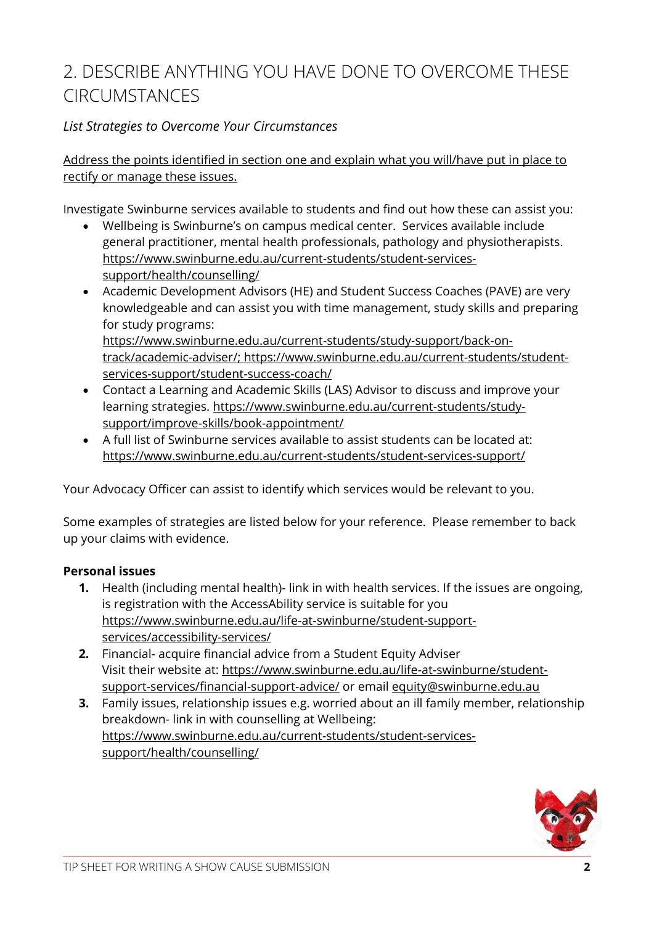# 2. DESCRIBE ANYTHING YOU HAVE DONE TO OVERCOME THESE CIRCUMSTANCES

### *List Strategies to Overcome Your Circumstances*

Address the points identified in section one and explain what you will/have put in place to rectify or manage these issues.

Investigate Swinburne services available to students and find out how these can assist you:

- Wellbeing is Swinburne's on campus medical center. Services available include general practitioner, mental health professionals, pathology and physiotherapists. [https://www.swinburne.edu.au/current-students/student-services](https://www.swinburne.edu.au/current-students/student-services-support/health/counselling/)[support/health/counselling/](https://www.swinburne.edu.au/current-students/student-services-support/health/counselling/)
- Academic Development Advisors (HE) and Student Success Coaches (PAVE) are very knowledgeable and can assist you with time management, study skills and preparing for study programs: [https://www.swinburne.edu.au/current-students/study-support/back-on](https://www.swinburne.edu.au/current-students/study-support/back-on-track/academic-adviser/)[track/academic-adviser/;](https://www.swinburne.edu.au/current-students/study-support/back-on-track/academic-adviser/) [https://www.swinburne.edu.au/current-students/student](https://www.swinburne.edu.au/current-students/student-services-support/student-success-coach/)[services-support/student-success-coach/](https://www.swinburne.edu.au/current-students/student-services-support/student-success-coach/)
- Contact a Learning and Academic Skills (LAS) Advisor to discuss and improve your learning strategies. https://www.swinburne.edu.au/current-students/studysupport/improve-skills/book-appointment/
- A full list of Swinburne services available to assist students can be located at: <https://www.swinburne.edu.au/current-students/student-services-support/>

Your Advocacy Officer can assist to identify which services would be relevant to you.

Some examples of strategies are listed below for your reference. Please remember to back up your claims with evidence.

### **Personal issues**

- **1.** Health (including mental health)- link in with health services. If the issues are ongoing, is registration with the AccessAbility service is suitable for you [https://www.swinburne.edu.au/life-at-swinburne/student-support](https://www.swinburne.edu.au/life-at-swinburne/student-support-services/accessibility-services/)[services/accessibility-services/](https://www.swinburne.edu.au/life-at-swinburne/student-support-services/accessibility-services/)
- **2.** Financial- acquire financial advice from a Student Equity Adviser Visit their website at: [https://www.swinburne.edu.au/life-at-swinburne/student](https://www.swinburne.edu.au/life-at-swinburne/student-support-services/financial-support-advice/)[support-services/financial-support-advice/](https://www.swinburne.edu.au/life-at-swinburne/student-support-services/financial-support-advice/) or email<equity@swinburne.edu.au>
- **3.** Family issues, relationship issues e.g. worried about an ill family member, relationship breakdown- link in with counselling at Wellbeing: https://www.swinburne.edu.au/current-students/student-servicessupport/health/counselling/

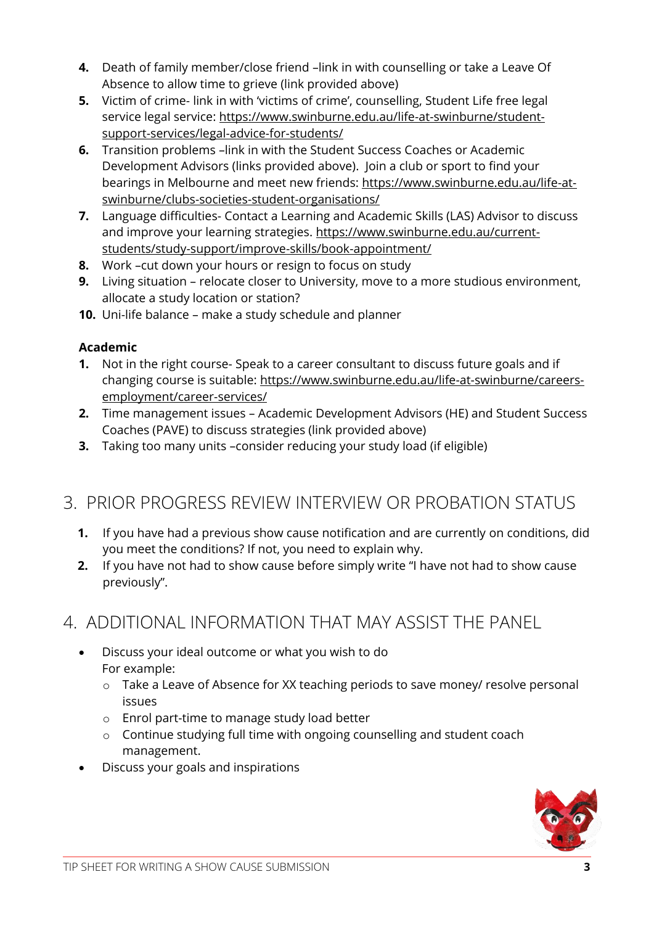- **4.** Death of family member/close friend –link in with counselling or take a Leave Of Absence to allow time to grieve (link provided above)
- **5.** Victim of crime- link in with 'victims of crime', counselling, Student Life free legal service legal service: [https://www.swinburne.edu.au/life-at-swinburne/student](https://www.swinburne.edu.au/life-at-swinburne/student-support-services/legal-advice-for-students/)[support-services/legal-advice-for-students/](https://www.swinburne.edu.au/life-at-swinburne/student-support-services/legal-advice-for-students/)
- **6.** Transition problems –link in with the Student Success Coaches or Academic Development Advisors (links provided above). Join a club or sport to find your bearings in Melbourne and meet new friends: [https://www.swinburne.edu.au/life-at](https://www.swinburne.edu.au/life-at-swinburne/clubs-societies-student-organisations/)[swinburne/clubs-societies-student-organisations/](https://www.swinburne.edu.au/life-at-swinburne/clubs-societies-student-organisations/)
- **7.** Language difficulties- Contact a Learning and Academic Skills (LAS) Advisor to discuss and improve your learning strategies. https://www.swinburne.edu.au/currentstudents/study-support/improve-skills/book-appointment/
- **8.** Work –cut down your hours or resign to focus on study
- **9.** Living situation relocate closer to University, move to a more studious environment, allocate a study location or station?
- **10.** Uni-life balance make a study schedule and planner

### **Academic**

- **1.** Not in the right course- Speak to a career consultant to discuss future goals and if changing course is suitable: [https://www.swinburne.edu.au/life-at-swinburne/careers](https://www.swinburne.edu.au/life-at-swinburne/careers-employment/career-services/)[employment/career-services/](https://www.swinburne.edu.au/life-at-swinburne/careers-employment/career-services/)
- **2.** Time management issues Academic Development Advisors (HE) and Student Success Coaches (PAVE) to discuss strategies (link provided above)
- **3.** Taking too many units -consider reducing your study load (if eligible)

# 3. PRIOR PROGRESS REVIEW INTERVIEW OR PROBATION STATUS

- **1.** If you have had a previous show cause notification and are currently on conditions, did you meet the conditions? If not, you need to explain why.
- **2.** If you have not had to show cause before simply write "I have not had to show cause previously".

# 4. ADDITIONAL INFORMATION THAT MAY ASSIST THE PANEL

- Discuss your ideal outcome or what you wish to do For example:
	- o Take a Leave of Absence for XX teaching periods to save money/ resolve personal issues
	- o Enrol part-time to manage study load better
	- o Continue studying full time with ongoing counselling and student coach management.
- Discuss your goals and inspirations